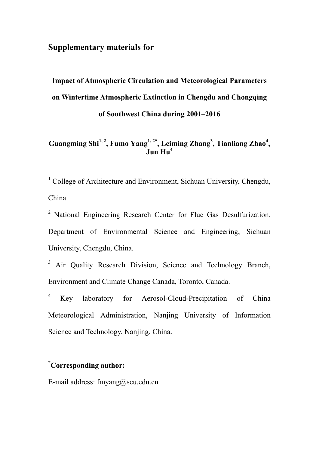## **Supplementary materials for**

# **Impact of Atmospheric Circulation and Meteorological Parameters on Wintertime Atmospheric Extinction in Chengdu and Chongqing of Southwest China during 2001–2016**

## Guangming Shi<sup>1, 2</sup>, Fumo Yang<sup>1, 2\*</sup>, Leiming Zhang<sup>3</sup>, Tianliang Zhao<sup>4</sup>, **Jun Hu<sup>4</sup>**

<sup>1</sup> College of Architecture and Environment, Sichuan University, Chengdu, China.

<sup>2</sup> National Engineering Research Center for Flue Gas Desulfurization, Department of Environmental Science and Engineering, Sichuan University, Chengdu, China.

<sup>3</sup> Air Quality Research Division, Science and Technology Branch, Environment and Climate Change Canada, Toronto, Canada.

4 Key laboratory for Aerosol-Cloud-Precipitation of China Meteorological Administration, Nanjing University of Information Science and Technology, Nanjing, China.

## **\* Corresponding author:**

E-mail address: fmyang@scu.edu.cn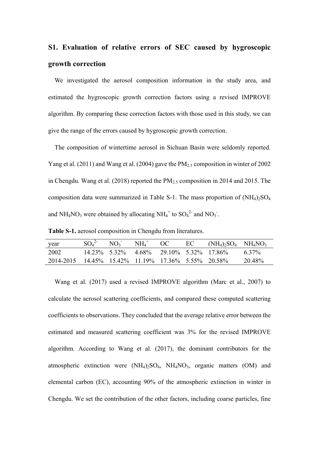## **S1. Evaluation of relative errors of SEC caused by hygroscopic growth correction**

We investigated the aerosol composition information in the study area, and estimated the hygroscopic growth correction factors using a revised IMPROVE algorithm. By comparing these correction factors with those used in this study, we can give the range of the errors caused by hygroscopic growth correction.

The composition of wintertime aerosol in Sichuan Basin were seldomly reported. Yang et al. (2011) and Wang et al. (2004) gave the  $PM_{2.5}$  composition in winter of 2002 in Chengdu. Wang et al. (2018) reported the  $PM<sub>2.5</sub>$  composition in 2014 and 2015. The composition data were summarized in Table S-1. The mass proportion of  $(NH<sub>4</sub>)<sub>2</sub>SO<sub>4</sub>$ and NH<sub>4</sub>NO<sub>3</sub> were obtained by allocating NH<sub>4</sub><sup>+</sup> to SO<sub>4</sub><sup>2</sup> and NO<sub>3</sub><sup>-</sup>.

**Table S-1.** aerosol composition in Chengdu from literatures.

| year                                               | $SO_4{}^{2-}$ $NO_3$ $NH_4{}^{+}$ $OC$         |  | EC | $(NH_4)_2SO_4$ $NH_4NO_3$ |          |
|----------------------------------------------------|------------------------------------------------|--|----|---------------------------|----------|
| 2002                                               | $14.23\%$ 5.32\% 4.68\% 29.10\% 5.32\% 17.86\% |  |    |                           | $6.37\%$ |
| 2014-2015 14.45% 15.42% 11.19% 17.36% 5.55% 20.58% |                                                |  |    |                           | 20.48%   |

Wang et al. (2017) used a revised IMPROVE algorithm (Marc et al., 2007) to calculate the aerosol scattering coefficients, and compared these computed scattering coefficients to observations. They concluded that the average relative error between the estimated and measured scattering coefficient was 3% for the revised IMPROVE algorithm. According to Wang et al. (2017), the dominant contributors for the atmospheric extinction were  $(NH_4)_2SO_4$ ,  $NH_4NO_3$ , organic matters  $(OM)$  and elemental carbon (EC), accounting 90% of the atmospheric extinction in winter in Chengdu. We set the contribution of the other factors, including coarse particles, fine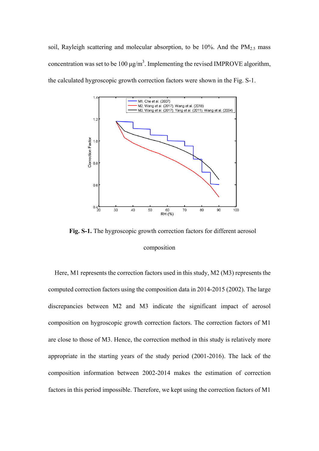soil, Rayleigh scattering and molecular absorption, to be  $10\%$ . And the  $PM_{2.5}$  mass concentration was set to be  $100 \mu g/m<sup>3</sup>$ . Implementing the revised IMPROVE algorithm, the calculated hygroscopic growth correction factors were shown in the Fig. S-1.



**Fig. S-1.** The hygroscopic growth correction factors for different aerosol

### composition

Here, M1 represents the correction factors used in this study, M2 (M3) represents the computed correction factors using the composition data in 2014-2015 (2002). The large discrepancies between M2 and M3 indicate the significant impact of aerosol composition on hygroscopic growth correction factors. The correction factors of M1 are close to those of M3. Hence, the correction method in this study is relatively more appropriate in the starting years of the study period (2001-2016). The lack of the composition information between 2002-2014 makes the estimation of correction factors in this period impossible. Therefore, we kept using the correction factors of M1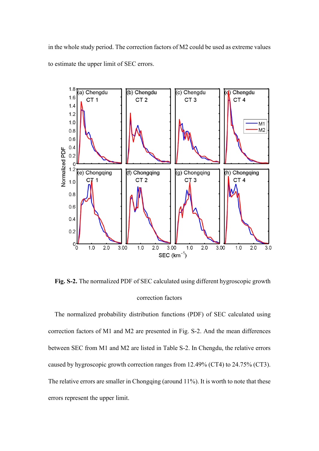in the whole study period. The correction factors of M2 could be used as extreme values to estimate the upper limit of SEC errors.



**Fig. S-2.** The normalized PDF of SEC calculated using different hygroscopic growth correction factors

The normalized probability distribution functions (PDF) of SEC calculated using correction factors of M1 and M2 are presented in Fig. S-2. And the mean differences between SEC from M1 and M2 are listed in Table S-2. In Chengdu, the relative errors caused by hygroscopic growth correction ranges from 12.49% (CT4) to 24.75% (CT3). The relative errors are smaller in Chongqing (around 11%). It is worth to note that these errors represent the upper limit.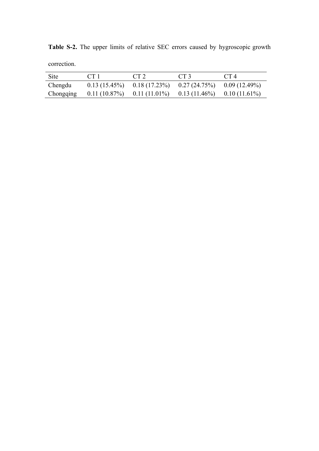| Site      | CT 1 | CT <sub>2</sub> | CT <sub>3</sub>                                                 | CT 4 |
|-----------|------|-----------------|-----------------------------------------------------------------|------|
| Chengdu   |      |                 | $0.13(15.45\%)$ $0.18(17.23\%)$ $0.27(24.75\%)$ $0.09(12.49\%)$ |      |
| Chongqing |      |                 | $0.11(10.87%)$ $0.11(11.01%)$ $0.13(11.46%)$ $0.10(11.61%)$     |      |

**Table S-2.** The upper limits of relative SEC errors caused by hygroscopic growth correction.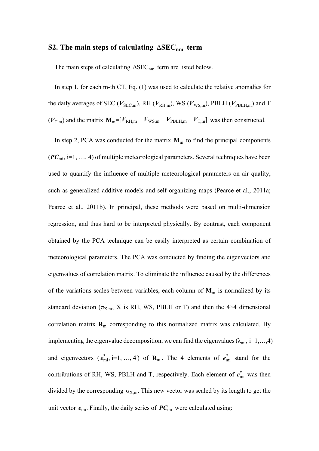### **S2.** The main steps of calculating  $\triangle$ **SEC<sub>nm</sub>** term

The main steps of calculating ∆SEC<sub>nm</sub> term are listed below.

In step 1, for each m-th CT, Eq. (1) was used to calculate the relative anomalies for the daily averages of SEC ( $V_{\text{SEC,m}}$ ), RH ( $V_{\text{RH,m}}$ ), WS ( $V_{\text{WS,m}}$ ), PBLH ( $V_{\text{PBLH,m}}$ ) and T  $(V_{\text{T,m}})$  and the matrix  $\mathbf{M}_{\text{m}}=[V_{\text{RH,m}} \quad V_{\text{WS,m}} \quad V_{\text{PBLH,m}} \quad V_{\text{T,m}}]$  was then constructed.

In step 2, PCA was conducted for the matrix  $M<sub>m</sub>$  to find the principal components  $(PC<sub>mi</sub>, i=1, ..., 4)$  of multiple meteorological parameters. Several techniques have been used to quantify the influence of multiple meteorological parameters on air quality, such as generalized additive models and self-organizing maps (Pearce et al., 2011a; Pearce et al., 2011b). In principal, these methods were based on multi-dimension regression, and thus hard to be interpreted physically. By contrast, each component obtained by the PCA technique can be easily interpreted as certain combination of meteorological parameters. The PCA was conducted by finding the eigenvectors and eigenvalues of correlation matrix. To eliminate the influence caused by the differences of the variations scales between variables, each column of  $M<sub>m</sub>$  is normalized by its standard deviation ( $\sigma_{X,m}$ , X is RH, WS, PBLH or T) and then the 4×4 dimensional correlation matrix **R**m corresponding to this normalized matrix was calculated. By implementing the eigenvalue decomposition, we can find the eigenvalues ( $\lambda_{mi}$ , i=1,...,4) and eigenvectors  $(e_{mi}^*$ , i=1, ..., 4) of  $\mathbf{R}_m$ . The 4 elements of  $e_{mi}^*$  stand for the contributions of RH, WS, PBLH and T, respectively. Each element of  $e_{mi}^*$  was then divided by the corresponding  $\sigma_{X,m}$ . This new vector was scaled by its length to get the unit vector  $e_{mi}$ . Finally, the daily series of  $PC_{mi}$  were calculated using: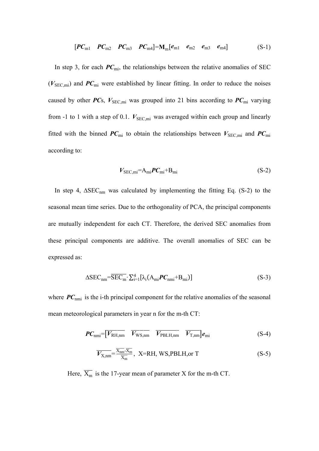$$
\begin{bmatrix} P C_{m1} & P C_{m2} & P C_{m3} & P C_{m4} \end{bmatrix} = M_m \begin{bmatrix} e_{m1} & e_{m2} & e_{m3} & e_{m4} \end{bmatrix}
$$
 (S-1)

In step 3, for each  $PC<sub>mi</sub>$ , the relationships between the relative anomalies of SEC  $(V_{\text{SEC,mi}})$  and  $PC_{\text{mi}}$  were established by linear fitting. In order to reduce the noises caused by other *PC*s,  $V_{\text{SEC,mi}}$  was grouped into 21 bins according to  $PC_{\text{mi}}$  varying from -1 to 1 with a step of 0.1.  $V_{\text{SEC,mi}}$  was averaged within each group and linearly fitted with the binned  $PC_{mi}$  to obtain the relationships between  $V_{\text{SEC,mi}}$  and  $PC_{mi}$ according to:

$$
V_{\text{SEC,m}} = A_{\text{mi}} P C_{\text{mi}} + B_{\text{mi}} \tag{S-2}
$$

In step 4,  $\triangle$ SEC<sub>nm</sub> was calculated by implementing the fitting Eq. (S-2) to the seasonal mean time series. Due to the orthogonality of PCA, the principal components are mutually independent for each CT. Therefore, the derived SEC anomalies from these principal components are additive. The overall anomalies of SEC can be expressed as:

$$
\Delta \text{SEC}_{nm} = \overline{\text{SEC}_{m}} \cdot \sum_{i=1}^{4} [\lambda_i (A_{mi} \boldsymbol{P} \boldsymbol{C}_{nmi} + B_{mi})] \tag{S-3}
$$

where  $PC_{nmi}$  is the i-th principal component for the relative anomalies of the seasonal mean meteorological parameters in year n for the m-th CT:

$$
\boldsymbol{PC}_{nmi} = [\overline{V_{RH,nm}} \quad \overline{V_{WS,nm}} \quad \overline{V_{PBLH,nm}} \quad \overline{V_{T,nm}}] \boldsymbol{e}_{mi}
$$
(S-4)

$$
\overline{V_{X,nm}} = \frac{\overline{X_{nm}} \cdot \overline{X_m}}{\overline{X_m}}, \quad X = RH, \quad WS, PBLH, \text{or } T
$$
 (S-5)

Here,  $\overline{X_m}$  is the 17-year mean of parameter X for the m-th CT.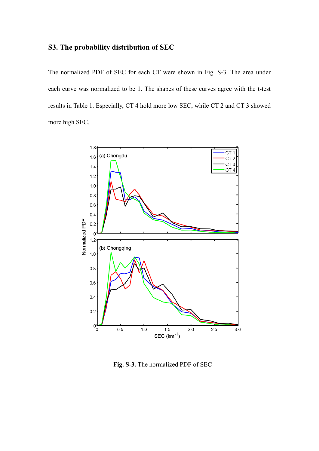### **S3. The probability distribution of SEC**

The normalized PDF of SEC for each CT were shown in Fig. S-3. The area under each curve was normalized to be 1. The shapes of these curves agree with the t-test results in Table 1. Especially, CT 4 hold more low SEC, while CT 2 and CT 3 showed more high SEC.



**Fig. S-3.** The normalized PDF of SEC